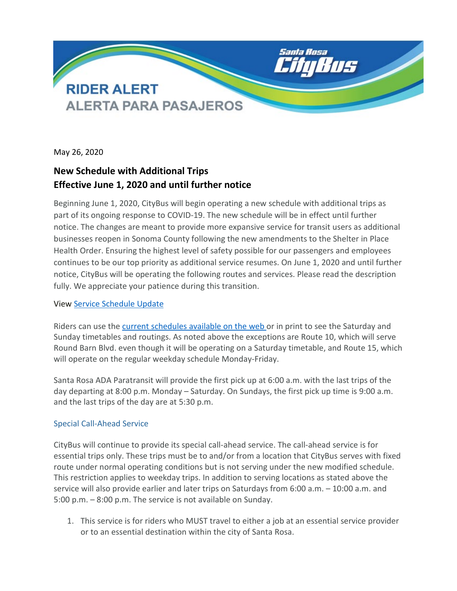

May 26, 2020

## **New Schedule with Additional Trips Effective June 1, 2020 and until further notice**

Beginning June 1, 2020, CityBus will begin operating a new schedule with additional trips as part of its ongoing response to COVID-19. The new schedule will be in effect until further notice. The changes are meant to provide more expansive service for transit users as additional businesses reopen in Sonoma County following the new amendments to the Shelter in Place Health Order. Ensuring the highest level of safety possible for our passengers and employees continues to be our top priority as additional service resumes. On June 1, 2020 and until further notice, CityBus will be operating the following routes and services. Please read the description fully. We appreciate your patience during this transition.

## View [Service Schedule Update](https://srcity.org/DocumentCenter/View/28342/Rider-Alert-Schedule-060120-updated)

Riders can use the [current schedules available on the web](https://srcity.org/1661/Maps-and-Timetables) or in print to see the Saturday and Sunday timetables and routings. As noted above the exceptions are Route 10, which will serve Round Barn Blvd. even though it will be operating on a Saturday timetable, and Route 15, which will operate on the regular weekday schedule Monday-Friday.

Santa Rosa ADA Paratransit will provide the first pick up at 6:00 a.m. with the last trips of the day departing at 8:00 p.m. Monday – Saturday. On Sundays, the first pick up time is 9:00 a.m. and the last trips of the day are at 5:30 p.m.

## Special Call-Ahead Service

CityBus will continue to provide its special call-ahead service. The call-ahead service is for essential trips only. These trips must be to and/or from a location that CityBus serves with fixed route under normal operating conditions but is not serving under the new modified schedule. This restriction applies to weekday trips. In addition to serving locations as stated above the service will also provide earlier and later trips on Saturdays from 6:00 a.m. – 10:00 a.m. and 5:00 p.m. – 8:00 p.m. The service is not available on Sunday.

1. This service is for riders who MUST travel to either a job at an essential service provider or to an essential destination within the city of Santa Rosa.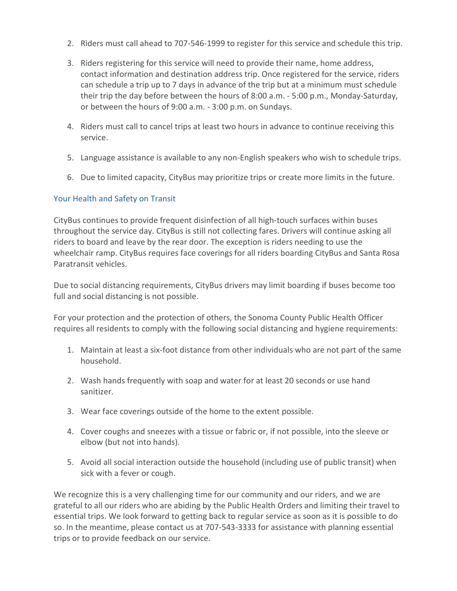- 2. Riders must call ahead to 707-546-1999 to register for this service and schedule this trip.
- 3. Riders registering for this service will need to provide their name, home address, contact information and destination address trip. Once registered for the service, riders can schedule a trip up to 7 days in advance of the trip but at a minimum must schedule their trip the day before between the hours of 8:00 a.m. - 5:00 p.m., Monday-Saturday, or between the hours of 9:00 a.m. - 3:00 p.m. on Sundays.
- 4. Riders must call to cancel trips at least two hours in advance to continue receiving this service.
- 5. Language assistance is available to any non-English speakers who wish to schedule trips.
- 6. Due to limited capacity, CityBus may prioritize trips or create more limits in the future.

## Your Health and Safety on Transit

CityBus continues to provide frequent disinfection of all high-touch surfaces within buses throughout the service day. CityBus is still not collecting fares. Drivers will continue asking all riders to board and leave by the rear door. The exception is riders needing to use the wheelchair ramp. CityBus requires face coverings for all riders boarding CityBus and Santa Rosa Paratransit vehicles.

Due to social distancing requirements, CityBus drivers may limit boarding if buses become too full and social distancing is not possible.

For your protection and the protection of others, the Sonoma County Public Health Officer requires all residents to comply with the following social distancing and hygiene requirements:

- 1. Maintain at least a six-foot distance from other individuals who are not part of the same household.
- 2. Wash hands frequently with soap and water for at least 20 seconds or use hand sanitizer.
- 3. Wear face coverings outside of the home to the extent possible.
- 4. Cover coughs and sneezes with a tissue or fabric or, if not possible, into the sleeve or elbow (but not into hands).
- 5. Avoid all social interaction outside the household (including use of public transit) when sick with a fever or cough.

We recognize this is a very challenging time for our community and our riders, and we are grateful to all our riders who are abiding by the Public Health Orders and limiting their travel to essential trips. We look forward to getting back to regular service as soon as it is possible to do so. In the meantime, please contact us at 707-543-3333 for assistance with planning essential trips or to provide feedback on our service.